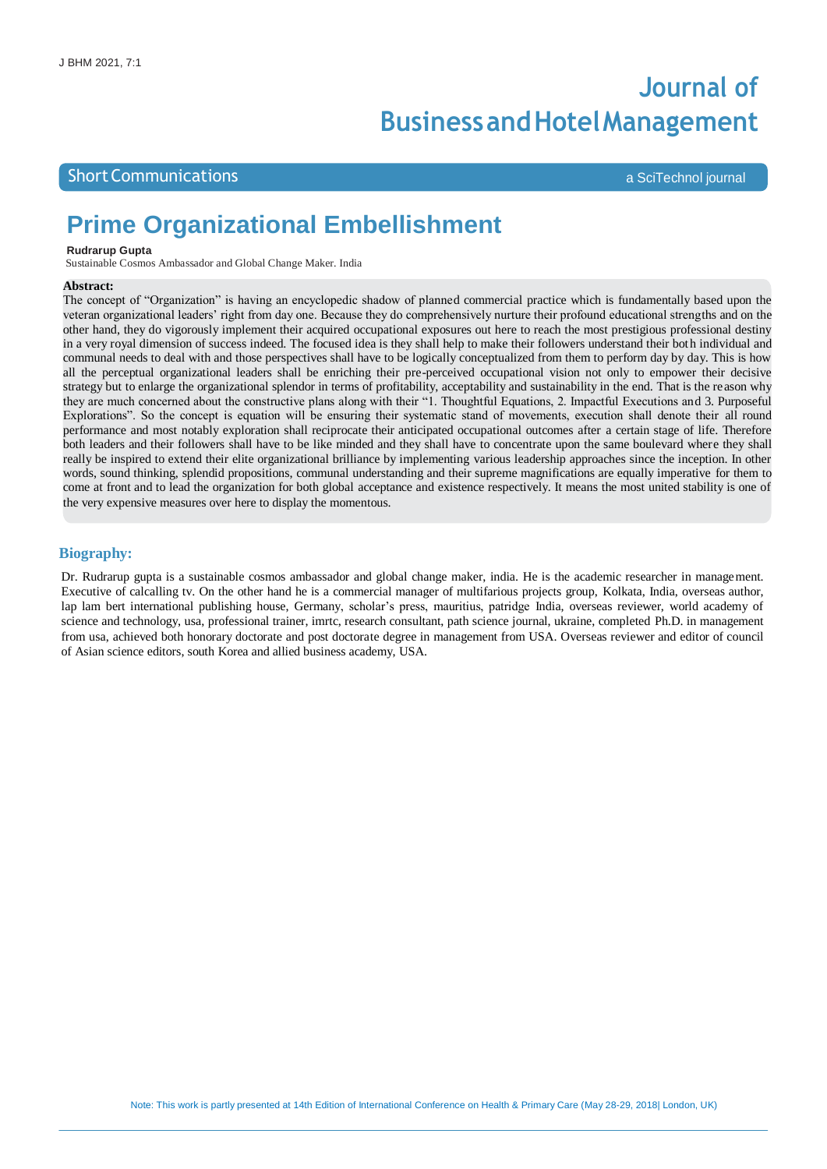# **Journal of BusinessandHotelManagement**

### Short Communications a Scitter of the Short Communications and the Short Communications and the Scitter of the Short Communications and the Short Communications and the Short Communications and the Short Communications are

## **Prime Organizational Embellishment**

#### **Rudrarup Gupta**

Sustainable Cosmos Ambassador and Global Change Maker. India

#### **Abstract:**

The concept of "Organization" is having an encyclopedic shadow of planned commercial practice which is fundamentally based upon the veteran organizational leaders' right from day one. Because they do comprehensively nurture their profound educational strengths and on the other hand, they do vigorously implement their acquired occupational exposures out here to reach the most prestigious professional destiny in a very royal dimension of success indeed. The focused idea is they shall help to make their followers understand their both individual and communal needs to deal with and those perspectives shall have to be logically conceptualized from them to perform day by day. This is how all the perceptual organizational leaders shall be enriching their pre-perceived occupational vision not only to empower their decisive strategy but to enlarge the organizational splendor in terms of profitability, acceptability and sustainability in the end. That is the reason why they are much concerned about the constructive plans along with their "1. Thoughtful Equations, 2. Impactful Executions and 3. Purposeful Explorations". So the concept is equation will be ensuring their systematic stand of movements, execution shall denote their all round performance and most notably exploration shall reciprocate their anticipated occupational outcomes after a certain stage of life. Therefore both leaders and their followers shall have to be like minded and they shall have to concentrate upon the same boulevard where they shall really be inspired to extend their elite organizational brilliance by implementing various leadership approaches since the inception. In other words, sound thinking, splendid propositions, communal understanding and their supreme magnifications are equally imperative for them to come at front and to lead the organization for both global acceptance and existence respectively. It means the most united stability is one of the very expensive measures over here to display the momentous.

#### **Biography:**

Dr. Rudrarup gupta is a sustainable cosmos ambassador and global change maker, india. He is the academic researcher in management. Executive of calcalling tv. On the other hand he is a commercial manager of multifarious projects group, Kolkata, India, overseas author, lap lam bert international publishing house, Germany, scholar's press, mauritius, patridge India, overseas reviewer, world academy of science and technology, usa, professional trainer, imrtc, research consultant, path science journal, ukraine, completed Ph.D. in management from usa, achieved both honorary doctorate and post doctorate degree in management from USA. Overseas reviewer and editor of council of Asian science editors, south Korea and allied business academy, USA.